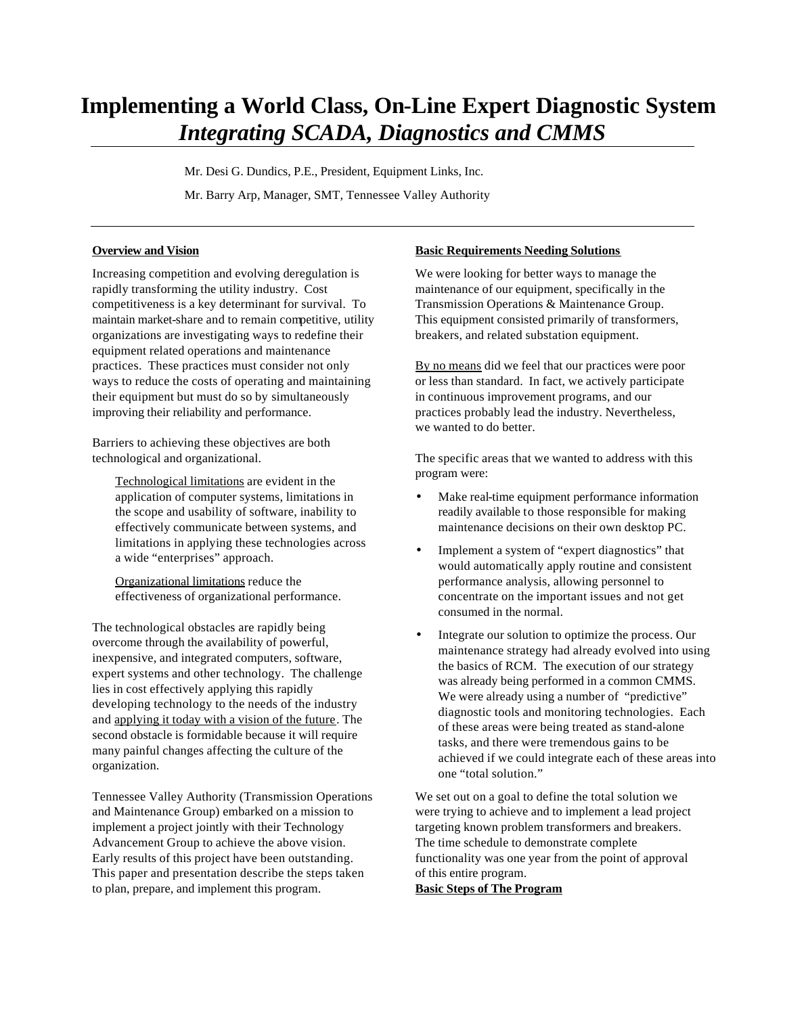# **Implementing a World Class, On-Line Expert Diagnostic System** *Integrating SCADA, Diagnostics and CMMS*

Mr. Desi G. Dundics, P.E., President, Equipment Links, Inc. Mr. Barry Arp, Manager, SMT, Tennessee Valley Authority

#### **Overview and Vision**

Increasing competition and evolving deregulation is rapidly transforming the utility industry. Cost competitiveness is a key determinant for survival. To maintain market-share and to remain competitive, utility organizations are investigating ways to redefine their equipment related operations and maintenance practices. These practices must consider not only ways to reduce the costs of operating and maintaining their equipment but must do so by simultaneously improving their reliability and performance.

Barriers to achieving these objectives are both technological and organizational.

Technological limitations are evident in the application of computer systems, limitations in the scope and usability of software, inability to effectively communicate between systems, and limitations in applying these technologies across a wide "enterprises" approach.

Organizational limitations reduce the effectiveness of organizational performance.

The technological obstacles are rapidly being overcome through the availability of powerful, inexpensive, and integrated computers, software, expert systems and other technology. The challenge lies in cost effectively applying this rapidly developing technology to the needs of the industry and applying it today with a vision of the future. The second obstacle is formidable because it will require many painful changes affecting the culture of the organization.

Tennessee Valley Authority (Transmission Operations and Maintenance Group) embarked on a mission to implement a project jointly with their Technology Advancement Group to achieve the above vision. Early results of this project have been outstanding. This paper and presentation describe the steps taken to plan, prepare, and implement this program.

## **Basic Requirements Needing Solutions**

We were looking for better ways to manage the maintenance of our equipment, specifically in the Transmission Operations & Maintenance Group. This equipment consisted primarily of transformers, breakers, and related substation equipment.

By no means did we feel that our practices were poor or less than standard. In fact, we actively participate in continuous improvement programs, and our practices probably lead the industry. Nevertheless, we wanted to do better.

The specific areas that we wanted to address with this program were:

- Make real-time equipment performance information readily available to those responsible for making maintenance decisions on their own desktop PC.
- Implement a system of "expert diagnostics" that would automatically apply routine and consistent performance analysis, allowing personnel to concentrate on the important issues and not get consumed in the normal.
- Integrate our solution to optimize the process. Our maintenance strategy had already evolved into using the basics of RCM. The execution of our strategy was already being performed in a common CMMS. We were already using a number of "predictive" diagnostic tools and monitoring technologies. Each of these areas were being treated as stand-alone tasks, and there were tremendous gains to be achieved if we could integrate each of these areas into one "total solution."

We set out on a goal to define the total solution we were trying to achieve and to implement a lead project targeting known problem transformers and breakers. The time schedule to demonstrate complete functionality was one year from the point of approval of this entire program.

**Basic Steps of The Program**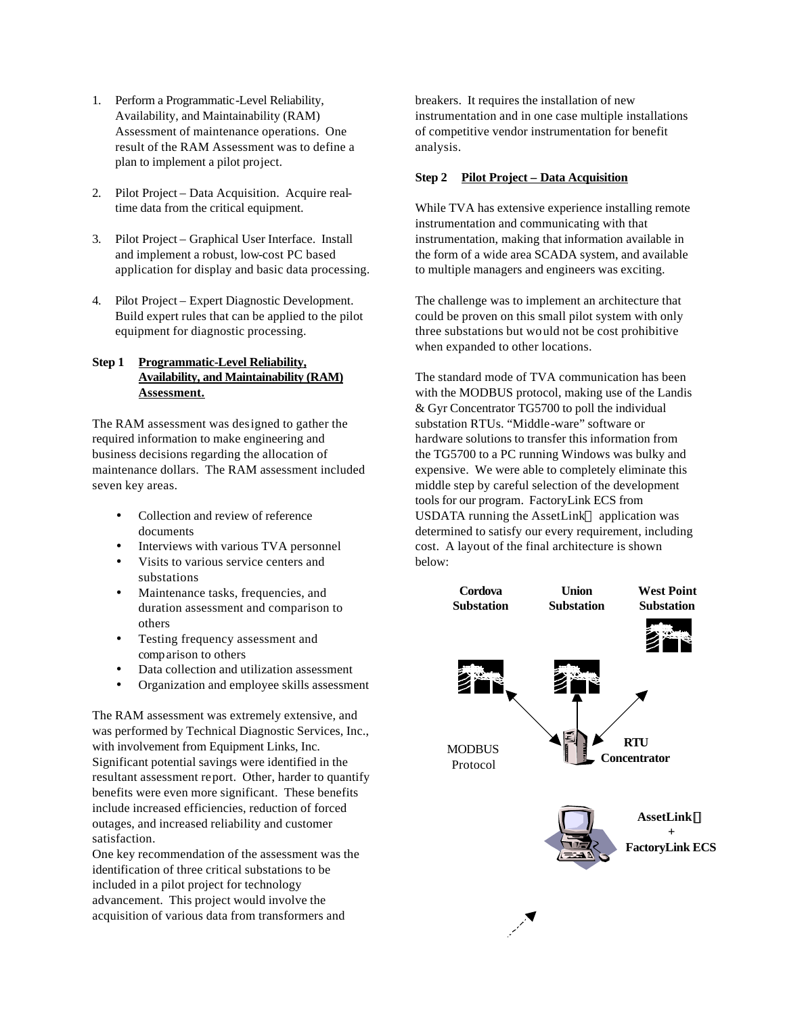- 1. Perform a Programmatic-Level Reliability, Availability, and Maintainability (RAM) Assessment of maintenance operations. One result of the RAM Assessment was to define a plan to implement a pilot project.
- 2. Pilot Project Data Acquisition. Acquire realtime data from the critical equipment.
- 3. Pilot Project Graphical User Interface. Install and implement a robust, low-cost PC based application for display and basic data processing.
- 4. Pilot Project Expert Diagnostic Development. Build expert rules that can be applied to the pilot equipment for diagnostic processing.

# **Step 1 Programmatic-Level Reliability, Availability, and Maintainability (RAM) Assessment.**

The RAM assessment was designed to gather the required information to make engineering and business decisions regarding the allocation of maintenance dollars. The RAM assessment included seven key areas.

- Collection and review of reference documents
- Interviews with various TVA personnel
- Visits to various service centers and substations
- Maintenance tasks, frequencies, and duration assessment and comparison to others
- Testing frequency assessment and comparison to others
- Data collection and utilization assessment
- Organization and employee skills assessment

The RAM assessment was extremely extensive, and was performed by Technical Diagnostic Services, Inc., with involvement from Equipment Links, Inc. Significant potential savings were identified in the resultant assessment report. Other, harder to quantify benefits were even more significant. These benefits include increased efficiencies, reduction of forced outages, and increased reliability and customer satisfaction.

One key recommendation of the assessment was the identification of three critical substations to be included in a pilot project for technology advancement. This project would involve the acquisition of various data from transformers and

breakers. It requires the installation of new instrumentation and in one case multiple installations of competitive vendor instrumentation for benefit analysis.

# **Step 2 Pilot Project – Data Acquisition**

While TVA has extensive experience installing remote instrumentation and communicating with that instrumentation, making that information available in the form of a wide area SCADA system, and available to multiple managers and engineers was exciting.

The challenge was to implement an architecture that could be proven on this small pilot system with only three substations but would not be cost prohibitive when expanded to other locations.

The standard mode of TVA communication has been with the MODBUS protocol, making use of the Landis & Gyr Concentrator TG5700 to poll the individual substation RTUs. "Middle-ware" software or hardware solutions to transfer this information from the TG5700 to a PC running Windows was bulky and expensive. We were able to completely eliminate this middle step by careful selection of the development tools for our program. FactoryLink ECS from USDATA running the AssetLink<sup> $TM$ </sup> application was determined to satisfy our every requirement, including cost. A layout of the final architecture is shown below:

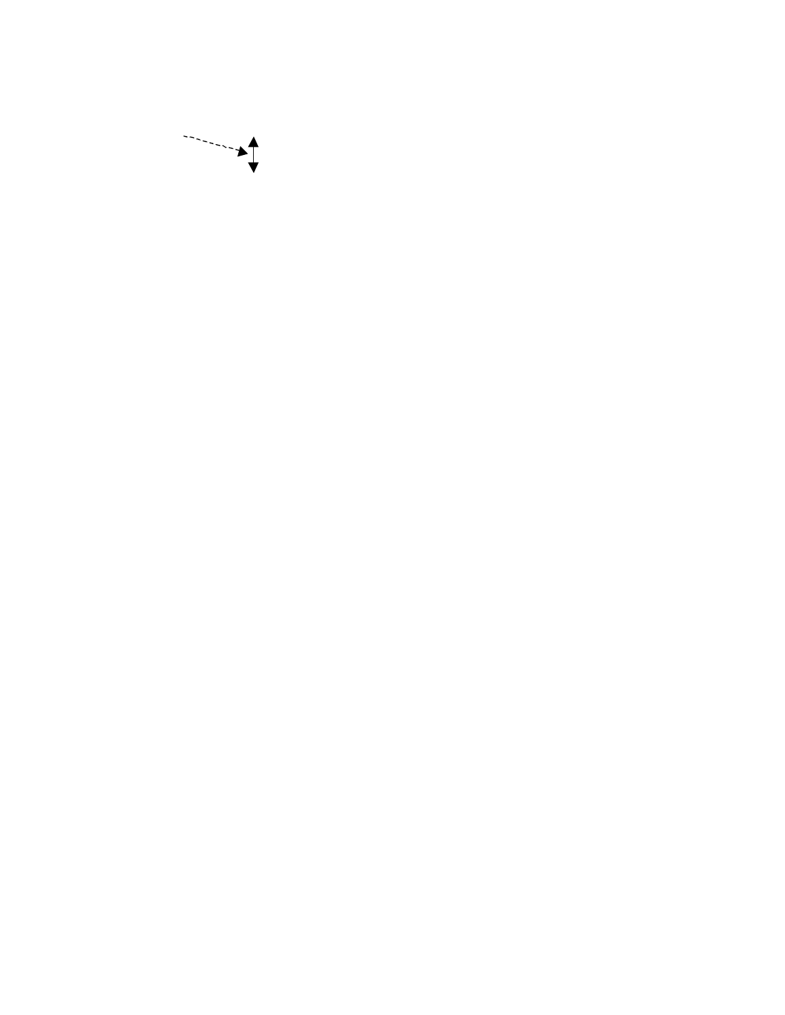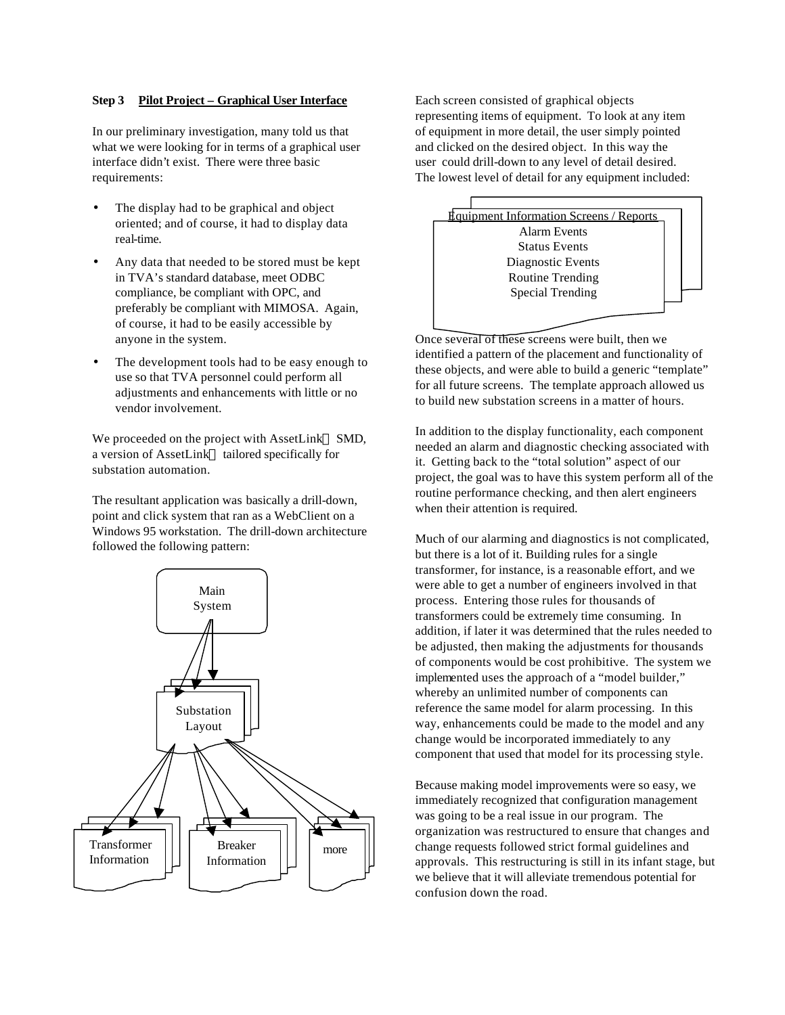#### **Step 3 Pilot Project – Graphical User Interface**

In our preliminary investigation, many told us that what we were looking for in terms of a graphical user interface didn't exist. There were three basic requirements:

- The display had to be graphical and object oriented; and of course, it had to display data real-time.
- Any data that needed to be stored must be kept in TVA's standard database, meet ODBC compliance, be compliant with OPC, and preferably be compliant with MIMOSA. Again, of course, it had to be easily accessible by anyone in the system.
- The development tools had to be easy enough to use so that TVA personnel could perform all adjustments and enhancements with little or no vendor involvement.

We proceeded on the project with AssetLink $T^M$  SMD, a version of AssetLink<sup>TM</sup> tailored specifically for substation automation.

The resultant application was basically a drill-down, point and click system that ran as a WebClient on a Windows 95 workstation. The drill-down architecture followed the following pattern:



Each screen consisted of graphical objects representing items of equipment. To look at any item of equipment in more detail, the user simply pointed and clicked on the desired object. In this way the user could drill-down to any level of detail desired. The lowest level of detail for any equipment included:



Once several of these screens were built, then we identified a pattern of the placement and functionality of these objects, and were able to build a generic "template" for all future screens. The template approach allowed us to build new substation screens in a matter of hours.

In addition to the display functionality, each component needed an alarm and diagnostic checking associated with it. Getting back to the "total solution" aspect of our project, the goal was to have this system perform all of the routine performance checking, and then alert engineers when their attention is required.

Much of our alarming and diagnostics is not complicated, but there is a lot of it. Building rules for a single transformer, for instance, is a reasonable effort, and we were able to get a number of engineers involved in that process. Entering those rules for thousands of transformers could be extremely time consuming. In addition, if later it was determined that the rules needed to be adjusted, then making the adjustments for thousands of components would be cost prohibitive. The system we implemented uses the approach of a "model builder," whereby an unlimited number of components can reference the same model for alarm processing. In this way, enhancements could be made to the model and any change would be incorporated immediately to any component that used that model for its processing style.

Because making model improvements were so easy, we immediately recognized that configuration management was going to be a real issue in our program. The organization was restructured to ensure that changes and change requests followed strict formal guidelines and approvals. This restructuring is still in its infant stage, but we believe that it will alleviate tremendous potential for confusion down the road.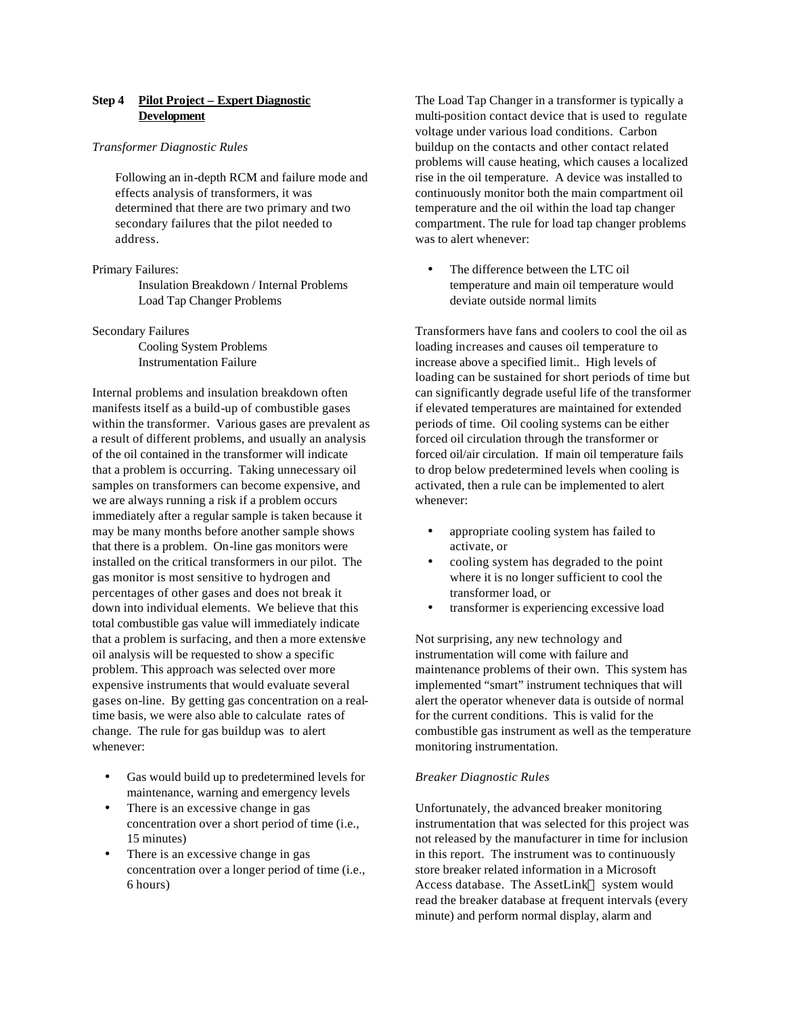# **Step 4 Pilot Project – Expert Diagnostic Development**

#### *Transformer Diagnostic Rules*

Following an in-depth RCM and failure mode and effects analysis of transformers, it was determined that there are two primary and two secondary failures that the pilot needed to address.

#### Primary Failures:

Insulation Breakdown / Internal Problems Load Tap Changer Problems

Secondary Failures

Cooling System Problems Instrumentation Failure

Internal problems and insulation breakdown often manifests itself as a build-up of combustible gases within the transformer. Various gases are prevalent as a result of different problems, and usually an analysis of the oil contained in the transformer will indicate that a problem is occurring. Taking unnecessary oil samples on transformers can become expensive, and we are always running a risk if a problem occurs immediately after a regular sample is taken because it may be many months before another sample shows that there is a problem. On-line gas monitors were installed on the critical transformers in our pilot. The gas monitor is most sensitive to hydrogen and percentages of other gases and does not break it down into individual elements. We believe that this total combustible gas value will immediately indicate that a problem is surfacing, and then a more extensive oil analysis will be requested to show a specific problem. This approach was selected over more expensive instruments that would evaluate several gases on-line. By getting gas concentration on a realtime basis, we were also able to calculate rates of change. The rule for gas buildup was to alert whenever:

- Gas would build up to predetermined levels for maintenance, warning and emergency levels
- There is an excessive change in gas concentration over a short period of time (i.e., 15 minutes)
- There is an excessive change in gas concentration over a longer period of time (i.e., 6 hours)

The Load Tap Changer in a transformer is typically a multi-position contact device that is used to regulate voltage under various load conditions. Carbon buildup on the contacts and other contact related problems will cause heating, which causes a localized rise in the oil temperature. A device was installed to continuously monitor both the main compartment oil temperature and the oil within the load tap changer compartment. The rule for load tap changer problems was to alert whenever:

The difference between the LTC oil temperature and main oil temperature would deviate outside normal limits

Transformers have fans and coolers to cool the oil as loading increases and causes oil temperature to increase above a specified limit.. High levels of loading can be sustained for short periods of time but can significantly degrade useful life of the transformer if elevated temperatures are maintained for extended periods of time. Oil cooling systems can be either forced oil circulation through the transformer or forced oil/air circulation. If main oil temperature fails to drop below predetermined levels when cooling is activated, then a rule can be implemented to alert whenever:

- appropriate cooling system has failed to activate, or
- cooling system has degraded to the point where it is no longer sufficient to cool the transformer load, or
- transformer is experiencing excessive load

Not surprising, any new technology and instrumentation will come with failure and maintenance problems of their own. This system has implemented "smart" instrument techniques that will alert the operator whenever data is outside of normal for the current conditions. This is valid for the combustible gas instrument as well as the temperature monitoring instrumentation.

#### *Breaker Diagnostic Rules*

Unfortunately, the advanced breaker monitoring instrumentation that was selected for this project was not released by the manufacturer in time for inclusion in this report. The instrument was to continuously store breaker related information in a Microsoft Access database. The AssetLink™ system would read the breaker database at frequent intervals (every minute) and perform normal display, alarm and